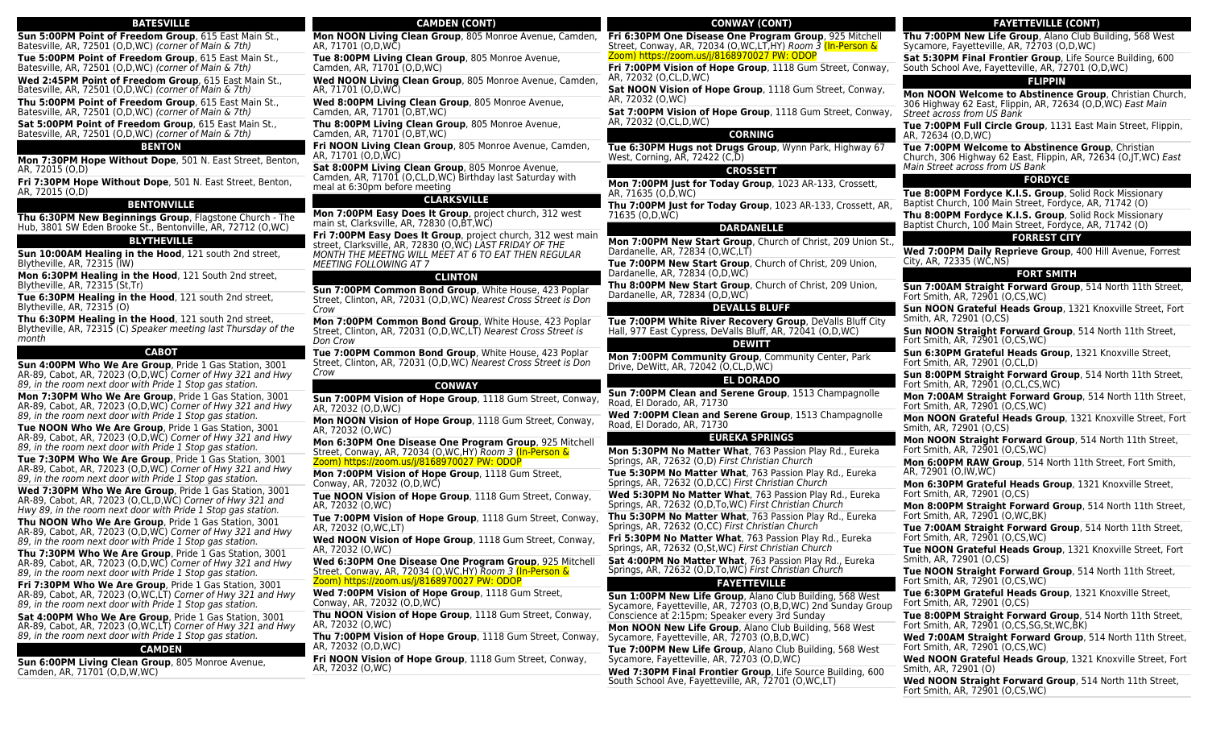| <b>BATESVILLE</b>                                                                                                                                                                       | <b>CAMDEN (CONT)</b>                                                                                                                                                           |
|-----------------------------------------------------------------------------------------------------------------------------------------------------------------------------------------|--------------------------------------------------------------------------------------------------------------------------------------------------------------------------------|
| Sun 5:00PM Point of Freedom Group, 615 East Main St.,                                                                                                                                   | Mon NOON Living Clean Group, 805 Monroe Avenue, Camden,                                                                                                                        |
| Batesville, AR, 72501 (O,D,WC) <i>(corner of Main &amp; 7th)</i>                                                                                                                        | AR, 71701 (O,D,WC)                                                                                                                                                             |
| Tue 5:00PM Point of Freedom Group, 615 East Main St.,                                                                                                                                   | Tue 8:00PM Living Clean Group, 805 Monroe Avenue,                                                                                                                              |
| Batesville, AR, 72501 (O,D,WC) (corner of Main & 7th)                                                                                                                                   | Camden, AR, 71701 (O,D,WC)                                                                                                                                                     |
| Wed 2:45PM Point of Freedom Group, 615 East Main St.,                                                                                                                                   | <b>Wed NOON Living Clean Group, 805 Monroe Avenue, Camden,</b>                                                                                                                 |
| Batesville, AR, 72501 (O,D,WC) <i>(corner of Main &amp; 7th)</i>                                                                                                                        | AR, 71701 (O,D,WC)                                                                                                                                                             |
| Thu 5:00PM Point of Freedom Group, 615 East Main St.,                                                                                                                                   | Wed 8:00PM Living Clean Group, 805 Monroe Avenue,                                                                                                                              |
| Batesville, AR, 72501 (O,D,WC) (corner of Main & 7th)                                                                                                                                   | Camden, AR, 71701 (O, BT, WC)                                                                                                                                                  |
| Sat 5:00PM Point of Freedom Group, 615 East Main St.,                                                                                                                                   | <b>Thu 8:00PM Living Clean Group, 805 Monroe Avenue,</b>                                                                                                                       |
| Batesville, AR, 72501 (O,D,WC) (corner of Main & 7th)                                                                                                                                   | Camden, AR, 71701 (O,BT,WC)                                                                                                                                                    |
| <b>BENTON</b>                                                                                                                                                                           | Fri NOON Living Clean Group, 805 Monroe Avenue, Camden,                                                                                                                        |
| <b>Mon 7:30PM Hope Without Dope</b> , 501 N. East Street, Benton,                                                                                                                       | AR, 71701 (O,D,WC)                                                                                                                                                             |
| AR, 72015 (O,D)                                                                                                                                                                         | <b>Sat 8:00PM Living Clean Group, 805 Monroe Avenue,</b>                                                                                                                       |
| <b>Fri 7:30PM Hope Without Dope</b> , 501 N. East Street, Benton,                                                                                                                       | Camden, AR, 71701 (O,CL,D,WC) Birthday last Saturday with                                                                                                                      |
| AR, 72015 (O,D)                                                                                                                                                                         | meal at 6:30pm before meeting                                                                                                                                                  |
| <b>BENTONVILLE</b>                                                                                                                                                                      | <b>CLARKSVILLE</b>                                                                                                                                                             |
| Thu 6:30PM New Beginnings Group, Flagstone Church - The                                                                                                                                 | <b>Mon 7:00PM Easy Does It Group, project church, 312 west</b>                                                                                                                 |
| Hub, 3801 SW Eden Brooke St., Bentonville, AR, 72712 (O,WC)                                                                                                                             | main st, Clarksville, AR, 72830 (O,BT,WC)                                                                                                                                      |
| <b>BLYTHEVILLE</b>                                                                                                                                                                      | <b>Fri 7:00PM Easy Does It Group</b> , project church, 312 west main<br>street, Clarksville, AR, 72830 (O,WC) LAST FRIDAY OF THE                                               |
| Sun 10:00AM Healing in the Hood, 121 south 2nd street,                                                                                                                                  | MONTH THE MEETNG WILL MEET AT 6 TO EAT THEN REGULAR                                                                                                                            |
| Blytheville, AR, 72315 (IW)                                                                                                                                                             | <i>MEETING FOLLOWING AT 7</i>                                                                                                                                                  |
| <b>Mon 6:30PM Healing in the Hood</b> , 121 South 2nd street,                                                                                                                           | <b>CLINTON</b>                                                                                                                                                                 |
| Blytheville, AR, 72315 (St,Tr)                                                                                                                                                          | Sun 7:00PM Common Bond Group, White House, 423 Poplar                                                                                                                          |
| Tue 6:30PM Healing in the Hood, 121 south 2nd street,                                                                                                                                   | Street, Clinton, AR, 72031 (O,D,WC) Nearest Cross Street is Don                                                                                                                |
| Blytheville, AR, 72315 (O)                                                                                                                                                              | Crow                                                                                                                                                                           |
| Thu 6:30PM Healing in the Hood, 121 south 2nd street,                                                                                                                                   | <b>Mon 7:00PM Common Bond Group</b> , White House, 423 Poplar                                                                                                                  |
| Blytheville, AR, 72315 (C) Speaker meeting last Thursday of the                                                                                                                         | Street, Clinton, AR, 72031 (O,D,WC,LT) Nearest Cross Street is                                                                                                                 |
| month                                                                                                                                                                                   | Don Crow                                                                                                                                                                       |
| <b>CABOT</b>                                                                                                                                                                            | Tue 7:00PM Common Bond Group, White House, 423 Poplar                                                                                                                          |
| Sun 4:00PM Who We Are Group, Pride 1 Gas Station, 3001<br>AR-89, Cabot, AR, 72023 (O,D,WC) <i>Corner of Hwy 321 and Hwy</i><br>89, in the room next door with Pride 1 Stop gas station. | Street, Clinton, AR, 72031 (O,D,WC) Nearest Cross Street is Don<br>Crow                                                                                                        |
| Mon 7:30PM Who We Are Group, Pride 1 Gas Station, 3001                                                                                                                                  | <b>CONWAY</b><br>Sun 7:00PM Vision of Hope Group, 1118 Gum Street, Conway,                                                                                                     |
| AR-89, Cabot, AR, 72023 (O,D,WC) <i>Corner of Hwy 321 and Hwy</i><br>89, in the room next door with Pride 1 Stop gas station.                                                           | AR, 72032 (O,D,WC)                                                                                                                                                             |
| <b>Tue NOON Who We Are Group</b> , Pride 1 Gas Station, 3001                                                                                                                            | <b>Mon NOON Vision of Hope Group, 1118 Gum Street, Conway,</b>                                                                                                                 |
| AR-89, Cabot, AR, 72023 (O,D,WC) Corner of Hwy 321 and Hwy                                                                                                                              | AR, 72032 (O,WC)                                                                                                                                                               |
| 89, in the room next door with Pride 1 Stop gas station.<br>Tue 7:30PM Who We Are Group, Pride 1 Gas Station, 3001                                                                      | <b>Mon 6:30PM One Disease One Program Group, 925 Mitchell</b><br>Street, Conway, AR, 72034 (O,WC,HY) Room 3 (In-Person &<br><u>Zoom) https://zoom.us/j/8168970027 PW: ODOP</u> |
| AR-89, Cabot, AR, 72023 (O,D,WC) <i>Corner of Hwy 321 and Hwy</i>                                                                                                                       | <b>Mon 7:00PM Vision of Hope Group, 1118 Gum Street,</b>                                                                                                                       |
| 89, in the room next door with Pride 1 Stop gas station.                                                                                                                                | Conway, AR, 72032 (O,D,WC)                                                                                                                                                     |
| Wed 7:30PM Who We Are Group, Pride 1 Gas Station, 3001                                                                                                                                  | Tue NOON Vision of Hope Group, 1118 Gum Street, Conway,                                                                                                                        |
| AR-89, Cabot, AR, 72023 (O,CL,D,WC) <i>Corner of Hwy 321 and</i>                                                                                                                        | AR, 72032 (O,WC)                                                                                                                                                               |
| Hwy 89, in the room next door with Pride 1 Stop gas station.                                                                                                                            | <b>Tue 7:00PM Vision of Hope Group</b> , 1118 Gum Street, Conway,                                                                                                              |
| Thu NOON Who We Are Group, Pride 1 Gas Station, 3001                                                                                                                                    | AR, 72032 (O,WC,LT)                                                                                                                                                            |
| AR-89, Cabot, AR, 72023 (O,D,WC) Corner of Hwy 321 and Hwy<br>89, in the room next door with Pride 1 Stop gas station.<br>Thu 7:30PM Who We Are Group. Pride 1 Gas Station. 3001        | Wed NOON Vision of Hope Group, 1118 Gum Street, Conway,<br>AR, 72032 (O,WC)                                                                                                    |
| AR-89, Cabot, AR, 72023 (O,D,WC) Corner of Hwy 321 and Hwy<br>89, in the room next door with Pride 1 Stop gas station.                                                                  | Wed 6:30PM One Disease One Program Group, 925 Mitchell<br>Street, Conway, AR, 72034 (O,WC,HY) Room 3 (In-Person &<br>Zoom) https://zoom.us/j/8168970027 PW: ODOP               |
| Fri 7:30PM Who We Are Group, Pride 1 Gas Station, 3001<br>AR-89, Cabot, AR, 72023 (O,WC,LT) Corner of Hwy 321 and Hwy<br>89, in the room next door with Pride 1 Stop gas station.       | <b>Wed 7:00PM Vision of Hope Group</b> , 1118 Gum Street,<br>Conway, AR, 72032 (O, D, WC)                                                                                      |
| Sat 4:00PM Who We Are Group, Pride 1 Gas Station, 3001                                                                                                                                  | Thu NOON Vision of Hope Group, 1118 Gum Street, Conway,                                                                                                                        |
| AR-89, Cabot, AR, 72023 (O,WC,LT) Corner of Hwy 321 and Hwy                                                                                                                             | AR, 72032 (O,WC)                                                                                                                                                               |
| 89, in the room next door with Pride 1 Stop gas station.                                                                                                                                | Thu 7:00PM Vision of Hope Group, 1118 Gum Street, Conway,                                                                                                                      |
| <b>CAMDEN</b>                                                                                                                                                                           | AR, 72032 (O,D,WC)                                                                                                                                                             |
| Sun 6:00PM Living Clean Group, 805 Monroe Avenue,                                                                                                                                       | Fri NOON Vision of Hope Group, 1118 Gum Street, Conway,                                                                                                                        |
| Camden, AR, 71701 (O,D,W,WC)                                                                                                                                                            | AR, 72032 (O,WC)                                                                                                                                                               |
|                                                                                                                                                                                         |                                                                                                                                                                                |

# **Sat 7:00PM Vision of Hope Group**, 1118 Gum Street, Conway, AR, 72032 (O,CL,D,WC) **CORNING Tue 6:30PM Hugs not Drugs Group**, Wynn Park, Highway 67 West, Corning, AR, 72422 (C,D) **CROSSETT Mon 7:00PM Just for Today Group**, 1023 AR-133, Crossett, AR, 71635 (O,D,WC) **Thu 7:00PM Just for Today Group**, 1023 AR-133, Crossett, AR, 71635 (O,D,WC) **DARDANELLE Mon 7:00PM New Start Group**, Church of Christ, 209 Union St., Dardanelle, AR, 72834 (O,WC,LT) **Tue 7:00PM New Start Group**, Church of Christ, 209 Union, Dardanelle, AR, 72834 (O,D,WC) **Thu 8:00PM New Start Group**, Church of Christ, 209 Union, Dardanelle, AR, 72834 (O,D,WC)

**CONWAY (CONT) Fri 6:30PM One Disease One Program Group**, 925 Mitchell Street, Conway, AR, 72034 (O,WC,LT,HY) Room 3 (In-Person &

**Fri 7:00PM Vision of Hope Group**, 1118 Gum Street, Conway,

**Sat NOON Vision of Hope Group**, 1118 Gum Street, Conway,

Zoom) https://zoom.us/j/8168970027 PW: ODOP

AR, 72032 (O,CL,D,WC)

AR, 72032 (O,WC)

# **DEVALLS BLUFF**

**Tue 7:00PM White River Recovery Group**, DeValls Bluff City Hall, 977 East Cypress, DeValls Bluff, AR, 72041 (O,D,WC)

# **DEWITT**

**Mon 7:00PM Community Group**, Community Center, Park Drive, DeWitt, AR, 72042 (O,CL,D,WC)

# **EL DORADO**

**Sun 7:00PM Clean and Serene Group**, 1513 Champagnolle Road, El Dorado, AR, 71730

**Wed 7:00PM Clean and Serene Group**, 1513 Champagnolle Road, El Dorado, AR, 71730

# **EUREKA SPRINGS**

**Mon 5:30PM No Matter What**, 763 Passion Play Rd., Eureka Springs, AR, 72632 (O,D) First Christian Church

**Tue 5:30PM No Matter What**, 763 Passion Play Rd., Eureka Springs, AR, 72632 (O,D,CC) First Christian Church

**Wed 5:30PM No Matter What**, 763 Passion Play Rd., Eureka Springs, AR, 72632 (O,D,To,WC) First Christian Church

**Thu 5:30PM No Matter What**, 763 Passion Play Rd., Eureka Springs, AR, 72632 (O,CC) First Christian Church

**Fri 5:30PM No Matter What**, 763 Passion Play Rd., Eureka Springs, AR, 72632 (O,St,WC) First Christian Church **Sat 4:00PM No Matter What**, 763 Passion Play Rd., Eureka

Springs, AR, 72632 (O,D,To,WC) First Christian Church

# **FAYETTEVILLE**

**Sun 1:00PM New Life Group**, Alano Club Building, 568 West Sycamore, Fayetteville, AR, 72703 (O,B,D,WC) 2nd Sunday Group Conscience at 2:15pm; Speaker every 3rd Sunday

**Mon NOON New Life Group**, Alano Club Building, 568 West Sycamore, Fayetteville, AR, 72703 (O,B,D,WC)

**Tue 7:00PM New Life Group**, Alano Club Building, 568 West Sycamore, Fayetteville, AR, 72703 (O,D,WC)

**Wed 7:30PM Final Frontier Group**, Life Source Building, 600 South School Ave, Fayetteville, AR, 72701 (O,WC,LT)

# **FAYETTEVILLE (CONT)**

**Thu 7:00PM New Life Group**, Alano Club Building, 568 West Sycamore, Fayetteville, AR, 72703 (O,D,WC)

**Sat 5:30PM Final Frontier Group**, Life Source Building, 600 South School Ave, Fayetteville, AR, 72701 (O,D,WC)

# **FLIPPIN**

**Mon NOON Welcome to Abstinence Group**, Christian Church, 306 Highway 62 East, Flippin, AR, 72634 (O,D,WC) East Main Street across from US Bank

**Tue 7:00PM Full Circle Group**, 1131 East Main Street, Flippin, AR, 72634 (O,D,WC)

**Tue 7:00PM Welcome to Abstinence Group**, Christian Church, 306 Highway 62 East, Flippin, AR, 72634 (O,JT,WC) East Main Street across from US Bank

# **FORDYCE**

**Tue 8:00PM Fordyce K.I.S. Group**, Solid Rock Missionary Baptist Church, 100 Main Street, Fordyce, AR, 71742 (O) **Thu 8:00PM Fordyce K.I.S. Group**, Solid Rock Missionary Baptist Church, 100 Main Street, Fordyce, AR, 71742 (O)

# **FORREST CITY**

**Wed 7:00PM Daily Reprieve Group**, 400 Hill Avenue, Forrest City, AR, 72335 (WC,NS)

# **FORT SMITH**

**Sun 7:00AM Straight Forward Group**, 514 North 11th Street, Fort Smith, AR, 72901 (O,CS, WC)

**Sun NOON Grateful Heads Group**, 1321 Knoxville Street, Fort Smith, AR, 72901 (O,CS)

**Sun NOON Straight Forward Group**, 514 North 11th Street, Fort Smith, AR, 72901 (O,CS,WC)

**Sun 6:30PM Grateful Heads Group**, 1321 Knoxville Street, Fort Smith, AR, 72901 (O,CL,D)

**Sun 8:00PM Straight Forward Group**, 514 North 11th Street, Fort Smith, AR, 72901 (O,CL,CS, WC)

**Mon 7:00AM Straight Forward Group**, 514 North 11th Street, Fort Smith, AR, 72901 (O,CS,WC)

**Mon NOON Grateful Heads Group**, 1321 Knoxville Street, Fort Smith, AR, 72901 (O,CS)

**Mon NOON Straight Forward Group**, 514 North 11th Street, Fort Smith, AR, 72901 (O,CS,WC)

**Mon 6:00PM RAW Group**, 514 North 11th Street, Fort Smith, AR, 72901 (O,IW,WC)

**Mon 6:30PM Grateful Heads Group**, 1321 Knoxville Street, Fort Smith, AR, 72901 (O,CS)

**Mon 8:00PM Straight Forward Group**, 514 North 11th Street, Fort Smith, AR,  $72901$  (O, WC, BK)

**Tue 7:00AM Straight Forward Group**, 514 North 11th Street, Fort Smith, AR, 72901 (O,CS,WC)

**Tue NOON Grateful Heads Group**, 1321 Knoxville Street, Fort Smith, AR, 72901 (O,CS)

**Tue NOON Straight Forward Group**, 514 North 11th Street, Fort Smith, AR, 72901 (O,CS,WC)

**Tue 6:30PM Grateful Heads Group**, 1321 Knoxville Street, Fort Smith, AR, 72901 (O,CS)

**Tue 8:00PM Straight Forward Group**, 514 North 11th Street, Fort Smith, AR, 72901 (O,CS,SG,St,WC,BK)

**Wed 7:00AM Straight Forward Group**, 514 North 11th Street, Fort Smith, AR, 72901 (O,CS,WC)

**Wed NOON Grateful Heads Group**, 1321 Knoxville Street, Fort Smith, AR, 72901 (O)

**Wed NOON Straight Forward Group**, 514 North 11th Street, Fort Smith, AR, 72901 (O,CS,WC)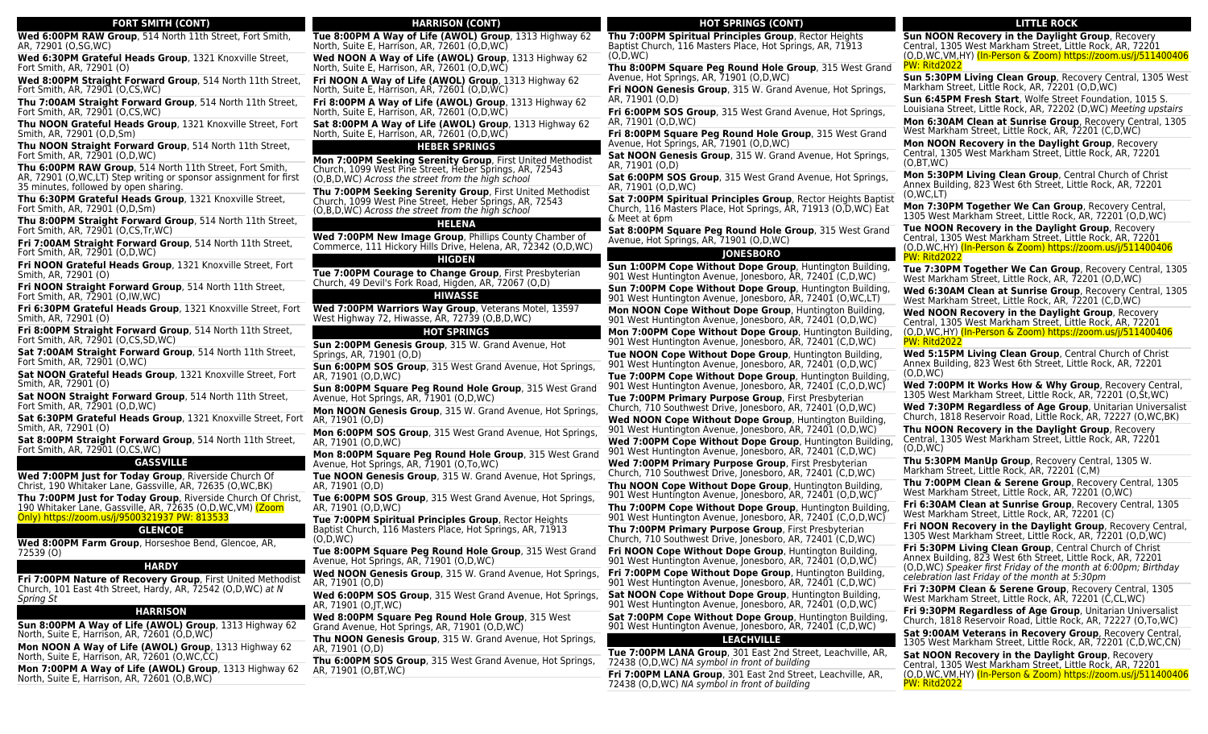| <b>FORT SMITH (CONT)</b>                                                                                                                | Н                                      |
|-----------------------------------------------------------------------------------------------------------------------------------------|----------------------------------------|
| Wed 6:00PM RAW Group, 514 North 11th Street, Fort Smith,                                                                                | Tue 8:00PM A Way of I                  |
| AR, 72901 (O,SG,WC)                                                                                                                     | North, Suite E, Harrison,              |
| Wed 6:30PM Grateful Heads Group, 1321 Knoxville Street,                                                                                 | Wed NOON A Way of L                    |
| Fort Smith, AR, 72901 (O)                                                                                                               | North, Suite E, Harrison, .            |
| Wed 8:00PM Straight Forward Group, 514 North 11th Street,                                                                               | Fri NOON A Way of Lif                  |
| Fort Smith, AR, 72901 (O,CS, WC)                                                                                                        | North, Suite E, Harrison, .            |
| Thu 7:00AM Straight Forward Group, 514 North 11th Street,                                                                               | Fri 8:00PM A Way of Li                 |
| Fort Smith, AR, 72901 (O,CS,WC)                                                                                                         | North, Suite E, Harrison, .            |
| Thu NOON Grateful Heads Group, 1321 Knoxville Street, Fort                                                                              | Sat 8:00PM A Way of L                  |
| Smith, AR, 72901 (O,D,Sm)                                                                                                               | North, Suite E, Harrison,              |
| Thu NOON Straight Forward Group, 514 North 11th Street,<br>Fort Smith, AR, 72901 (O,D,WC)                                               | Mon 7:00PM Seeking 9                   |
| Thu 6:00PM RAW Group, 514 North 11th Street, Fort Smith,                                                                                | Church, 1099 West Pine !               |
| AR, 72901 (O,WC,LT) Step writing or sponsor assignment for first                                                                        | (O,B,D,WC) Across the st               |
| 35 minutes, followed by open sharing.                                                                                                   | Thu 7:00PM Seeking S                   |
| Thu 6:30PM Grateful Heads Group, 1321 Knoxville Street,                                                                                 | Church, 1099 West Pine !               |
| Fort Smith, AR, 72901 (O,D,Sm)                                                                                                          | (O,B,D,WC) Across the st               |
| Thu 8:00PM Straight Forward Group, 514 North 11th Street,<br>Fort Smith, AR, 72901 (O,CS, Tr, WC)                                       | Wed 7:00PM New Imar                    |
| Fri 7:00AM Straight Forward Group, 514 North 11th Street,<br>Fort Smith, AR, 72901 (O,D,WC)                                             | Commerce, 111 Hickory                  |
| Fri NOON Grateful Heads Group, 1321 Knoxville Street, Fort<br>Smith, AR, 72901 (O)                                                      | Tue 7:00PM Courage t                   |
| Fri NOON Straight Forward Group, 514 North 11th Street,<br>Fort Smith, AR, 72901 (O, IW, WC)                                            | Church, 49 Devil's Fork R              |
| Fri 6:30PM Grateful Heads Group, 1321 Knoxville Street, Fort                                                                            | <b>Wed 7:00PM Warriors</b>             |
| Smith, AR, 72901 (O)                                                                                                                    | West Highway 72, Hiwass                |
| Fri 8:00PM Straight Forward Group, 514 North 11th Street,<br>Fort Smith, AR, 72901 (O,CS,SD,WC)                                         | Sun 2:00PM Genesis G                   |
| Sat 7:00AM Straight Forward Group, 514 North 11th Street,                                                                               | Springs, AR, 71901 (O,D)               |
| Fort Smith, AR, 72901 (O, WC)                                                                                                           | Sun 6:00PM SOS Grou                    |
| Sat NOON Grateful Heads Group, 1321 Knoxville Street, Fort                                                                              | AR, 71901 (O,D,WC)                     |
| Smith, AR, 72901 (O)                                                                                                                    | Sun 8:00PM Square Pe                   |
| Sat NOON Straight Forward Group, 514 North 11th Street,                                                                                 | Avenue, Hot Springs, AR,               |
| Fort Smith, AR, 72901 (O,D,WC)                                                                                                          | <b>Mon NOON Genesis Gr</b>             |
| Sat 6:30PM Grateful Heads Group, 1321 Knoxville Street, Fort                                                                            | AR, 71901 (O,D)                        |
| Smith, AR, 72901 (O)                                                                                                                    | Mon 6:00PM SOS Grou                    |
| Sat 8:00PM Straight Forward Group, 514 North 11th Street,                                                                               | AR, 71901 (O,D,WC)                     |
| Fort Smith, AR, 72901 (O,CS, WC)                                                                                                        | Mon 8:00PM Square P                    |
| <b>GASSVILLE</b>                                                                                                                        | Avenue, Hot Springs, AR,               |
| Wed 7:00PM Just for Today Group, Riverside Church Of                                                                                    | <b>Tue NOON Genesis Gro</b>            |
| Christ, 190 Whitaker Lane, Gassville, AR, 72635 (O,WC,BK)                                                                               | AR, 71901 (O,D)                        |
| Thu 7:00PM Just for Today Group, Riverside Church Of Christ,                                                                            | Tue 6:00PM SOS Group                   |
| 190 Whitaker Lane, Gassville, AR, 72635 (O,D,WC,VM) (Zoom                                                                               | AR, 71901 (O,D,WC)                     |
| Only) https://zoom.us/j/9500321937 PW: 813533                                                                                           | Tue 7:00PM Spiritual F                 |
| <b>GLENCOE</b>                                                                                                                          | Baptist Church, 116 Mast<br>(0,D,WC)   |
| Wed 8:00PM Farm Group, Horseshoe Bend, Glencoe, AR,                                                                                     | Tue 8:00PM Square Pe                   |
| 72539 (O)                                                                                                                               | Avenue, Hot Springs, AR,               |
| <b>HARDY</b>                                                                                                                            | <b>Wed NOON Genesis Gr</b>             |
| Fri 7:00PM Nature of Recovery Group, First United Methodist<br>Church, 101 East 4th Street, Hardy, AR, 72542 (O,D,WC) at N<br>Spring St | AR, 71901 (O,D)<br>Wed 6:00PM SOS Grou |
| <b>HARRISON</b>                                                                                                                         | AR, 71901 (O, JT, WC)                  |
| Sun 8:00PM A Way of Life (AWOL) Group, 1313 Highway 62                                                                                  | Wed 8:00PM Square P                    |
| North, Suite E, Harrison, AR, 72601 (O.D.WC)                                                                                            | Grand Avenue, Hot Sprin                |
| Mon NOON A Way of Life (AWOL) Group, 1313 Highway 62                                                                                    | <b>Thu NOON Genesis Gro</b>            |
| North, Suite E, Harrison, AR, 72601 (O, WC,CC)                                                                                          | AR, 71901 (O,D)                        |
| Mon 7:00PM A Way of Life (AWOL) Group, 1313 Highway 62                                                                                  | Thu 6:00PM SOS Group                   |
| North, Suite E, Harrison, AR, 72601 (O,B,WC)                                                                                            | AR, 71901 (O,BT,WC)                    |
|                                                                                                                                         |                                        |

# **HARRISON (CONT)** Life (AWOL) Group, 1313 Highway 62 AR, 72601 (O.D.WC) **Life (AWOL) Group**, 1313 Highway 62 AR, 72601 (O,D,WC) **Fe (AWOL) Group**, 1313 Highway 62 AR, 72601 (O,D,WC) **Life (AWOL) Group**, 1313 Highway 62 AR, 72601 (O,D,WC) Life (AWOL) Group, 1313 Highway 62 AR, 72601 (O,D,WC) **HEBER SPRINGS Serenity Group**, First United Methodist Street, Heber Springs, AR, 72543 treet from the high school **Serenity Group**, First United Methodist Street, Heber Springs, AR, 72543 treet from the high school **HELENA Wed 7:00PM New Image Group**, Phillips County Chamber of Commerce, 111 Hickory Hills Drive, Helena, AR, 72342 (O,D,WC) **HIGDEN** to Change Group, First Presbyterian Church, 49 Devil's Fork Road, Higden, AR, 72067 (O,D) **HIWASSE** Way Group, Veterans Motel, 13597 sse, AR, 72739 (O,B,D,WC) **HOT SPRINGS Group**, 315 W. Grand Avenue, Hot **sp.** 315 West Grand Avenue, Hot Springs, eq Round Hole Group, 315 West Grand . 71901 (O.D.WC) roup, 315 W. Grand Avenue, Hot Springs, **up**, 315 West Grand Avenue, Hot Springs, **Peg Round Hole Group**, 315 West Grand ., 71901 (O.To.WC) **Toup**, 315 W. Grand Avenue, Hot Springs, **Ip**, 315 West Grand Avenue, Hot Springs, **Principles Group**, Rector Heights ters Place, Hot Springs, AR, 71913 eg Round Hole Group, 315 West Grand ا, 71901 (O,D,WC) **Wed NOON Genesis Group**, 315 W. Grand Avenue, Hot Springs, **Fri 7:00PM Cope Without Dope Group**, Huntington Building, **up**, 315 West Grand Avenue, Hot Springs, **Peg Round Hole Group**, 315 West าgs, AR, 71901 (O,D,WC) **Toup**, 315 W. Grand Avenue, Hot Springs, (O,D,WC)

**Ip**, 315 West Grand Avenue, Hot Springs,

**HOT SPRINGS (CONT)**

**Thu 7:00PM Spiritual Principles Group**, Rector Heights Baptist Church, 116 Masters Place, Hot Springs, AR, 71913

**Thu 8:00PM Square Peg Round Hole Group**, 315 West Grand Avenue, Hot Springs, AR, 71901 (O,D,WC)

**Fri NOON Genesis Group**, 315 W. Grand Avenue, Hot Springs, AR, 71901 (O,D)

**Fri 6:00PM SOS Group**, 315 West Grand Avenue, Hot Springs, AR, 71901 (O,D,WC)

**Fri 8:00PM Square Peg Round Hole Group**, 315 West Grand Avenue, Hot Springs, AR, 71901 (O,D,WC)

**Sat NOON Genesis Group**, 315 W. Grand Avenue, Hot Springs, AR, 71901 (O,D)

**Sat 6:00PM SOS Group**, 315 West Grand Avenue, Hot Springs, AR, 71901 (O,D,WC)

**Sat 7:00PM Spiritual Principles Group**, Rector Heights Baptist Church, 116 Masters Place, Hot Springs, AR, 71913 (O,D,WC) Eat & Meet at 6pm

**Sat 8:00PM Square Peg Round Hole Group**, 315 West Grand Avenue, Hot Springs, AR, 71901 (O,D,WC)

### **JONESBORO**

**Sun 1:00PM Cope Without Dope Group**, Huntington Building, 901 West Huntington Avenue, Jonesboro, AR, 72401 (C,D,WC) **Sun 7:00PM Cope Without Dope Group**, Huntington Building, 901 West Huntington Avenue, Jonesboro, AR, 72401 (O,WC,LT) **Mon NOON Cope Without Dope Group**, Huntington Building, 901 West Huntington Avenue, Jonesboro, AR, 72401 (O,D,WC) **Mon 7:00PM Cope Without Dope Group**, Huntington Building, 901 West Huntington Avenue, Jonesboro, AR, 72401 (C,D,WC) **Tue NOON Cope Without Dope Group**, Huntington Building, 901 West Huntington Avenue, Jonesboro, AR, 72401 (O,D,WC) **Tue 7:00PM Cope Without Dope Group**, Huntington Building, 901 West Huntington Avenue, Jonesboro, AR, 72401 (C,O,D,WC) **Tue 7:00PM Primary Purpose Group**, First Presbyterian Church, 710 Southwest Drive, Jonesboro, AR, 72401 (O,D,WC) **Wed NOON Cope Without Dope Group**, Huntington Building, 901 West Huntington Avenue, Jonesboro, AR, 72401 (O,D,WC) **Wed 7:00PM Cope Without Dope Group**, Huntington Building, 901 West Huntington Avenue, Jonesboro, AR, 72401 (C,D,WC)

**Wed 7:00PM Primary Purpose Group**, First Presbyterian Church, 710 Southwest Drive, Jonesboro, AR, 72401 (C,D,WC)

**Thu NOON Cope Without Dope Group**, Huntington Building, 901 West Huntington Avenue, Jonesboro, AR, 72401 (O,D,WC)

**Thu 7:00PM Cope Without Dope Group**, Huntington Building, 901 West Huntington Avenue, Jonesboro, AR, 72401 (C,O,D,WC)

**Thu 7:00PM Primary Purpose Group**, First Presbyterian Church, 710 Southwest Drive, Jonesboro, AR, 72401 (C,D,WC)

**Fri NOON Cope Without Dope Group**, Huntington Building, 901 West Huntington Avenue, Jonesboro, AR, 72401 (O,D,WC)

901 West Huntington Avenue, Jonesboro, AR, 72401 (C,D,WC)

**Sat NOON Cope Without Dope Group**, Huntington Building, 901 West Huntington Avenue, Jonesboro, AR, 72401 (O,D,WC)

**Sat 7:00PM Cope Without Dope Group**, Huntington Building, 901 West Huntington Avenue, Jonesboro, AR, 72401 (C,D,WC)

# **LEACHVILLE**

**Tue 7:00PM LANA Group**, 301 East 2nd Street, Leachville, AR, 72438 (O,D,WC) NA symbol in front of building **Fri 7:00PM LANA Group**, 301 East 2nd Street, Leachville, AR, 72438 (O,D,WC) NA symbol in front of building

# **LITTLE ROCK**

**Sun NOON Recovery in the Daylight Group**, Recovery Central, 1305 West Markham Street, Little Rock, AR, 72201 (O,D,WC,VM,HY) (In-Person & Zoom) https://zoom.us/j/511400406 PW: Ritd2022

**Sun 5:30PM Living Clean Group**, Recovery Central, 1305 West Markham Street, Little Rock, AR, 72201 (O,D,WC)

**Sun 6:45PM Fresh Start**, Wolfe Street Foundation, 1015 S. Louisiana Street, Little Rock, AR, 72202 (D,WC) Meeting upstairs

**Mon 6:30AM Clean at Sunrise Group**, Recovery Central, 1305 West Markham Street, Little Rock, AR, 72201 (C,D,WC)

**Mon NOON Recovery in the Daylight Group**, Recovery Central, 1305 West Markham Street, Little Rock, AR, 72201 (O,BT,WC)

**Mon 5:30PM Living Clean Group**, Central Church of Christ Annex Building, 823 West 6th Street, Little Rock, AR, 72201 (O,WC,LT)

**Mon 7:30PM Together We Can Group**, Recovery Central, 1305 West Markham Street, Little Rock, AR, 72201 (O,D,WC)

**Tue NOON Recovery in the Daylight Group**, Recovery Central, 1305 West Markham Street, Little Rock, AR, 72201 (O,D,WC,HY) (In-Person & Zoom) https://zoom.us/j/511400406 PW: Ritd2022

**Tue 7:30PM Together We Can Group**, Recovery Central, 1305 West Markham Street, Little Rock, AR, 72201 (O,D,WC)

**Wed 6:30AM Clean at Sunrise Group**, Recovery Central, 1305 West Markham Street, Little Rock, AR, 72201 (C,D,WC)

**Wed NOON Recovery in the Daylight Group**, Recovery Central, 1305 West Markham Street, Little Rock, AR, 72201 (O,D,WC,HY) (In-Person & Zoom) https://zoom.us/j/511400406 PW: Ritd2022

**Wed 5:15PM Living Clean Group**, Central Church of Christ Annex Building, 823 West 6th Street, Little Rock, AR, 72201 (O,D,WC)

**Wed 7:00PM It Works How & Why Group**, Recovery Central, 1305 West Markham Street, Little Rock, AR, 72201 (O,St,WC)

**Wed 7:30PM Regardless of Age Group**, Unitarian Universalist Church, 1818 Reservoir Road, Little Rock, AR, 72227 (O,WC,BK) **Thu NOON Recovery in the Daylight Group**, Recovery Central, 1305 West Markham Street, Little Rock, AR, 72201 (O,D,WC)

**Thu 5:30PM ManUp Group**, Recovery Central, 1305 W. Markham Street, Little Rock, AR, 72201 (C,M)

**Thu 7:00PM Clean & Serene Group**, Recovery Central, 1305 West Markham Street, Little Rock, AR, 72201 (O,WC)

**Fri 6:30AM Clean at Sunrise Group**, Recovery Central, 1305 West Markham Street, Little Rock, AR, 72201 (C)

**Fri NOON Recovery in the Daylight Group**, Recovery Central, 1305 West Markham Street, Little Rock, AR, 72201 (O,D,WC)

**Fri 5:30PM Living Clean Group**, Central Church of Christ Annex Building, 823 West 6th Street, Little Rock, AR, 72201 (O,D,WC) Speaker first Friday of the month at 6:00pm; Birthday celebration last Friday of the month at 5:30pm

**Fri 7:30PM Clean & Serene Group**, Recovery Central, 1305 West Markham Street, Little Rock, AR, 72201 (C,CL,WC)

**Fri 9:30PM Regardless of Age Group**, Unitarian Universalist Church, 1818 Reservoir Road, Little Rock, AR, 72227 (O,To,WC)

**Sat 9:00AM Veterans in Recovery Group**, Recovery Central, 1305 West Markham Street, Little Rock, AR, 72201 (C,D,WC,CN)

**Sat NOON Recovery in the Daylight Group**, Recovery Central, 1305 West Markham Street, Little Rock, AR, 72201 (O,D,WC,VM,HY) (In-Person & Zoom) https://zoom.us/j/511400406 PW: Ritd2022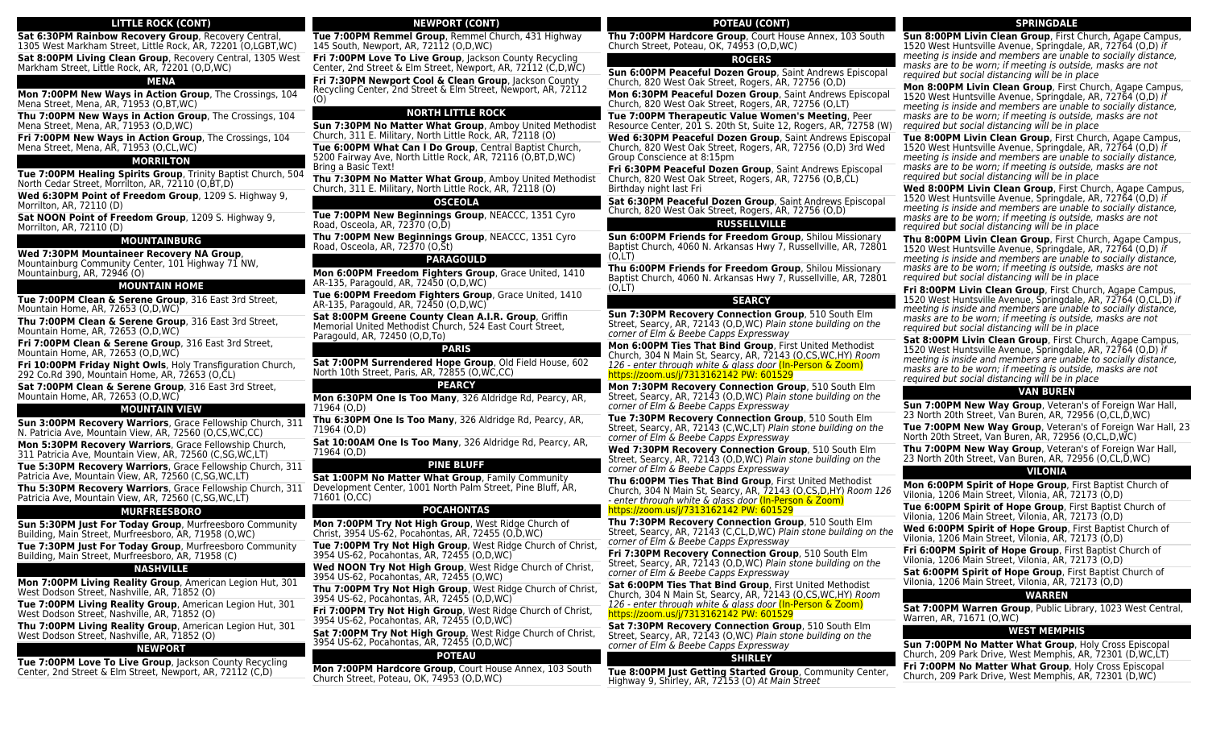# **LITTLE ROCK (CONT)**

**Sat 6:30PM Rainbow Recovery Group**, Recovery Central, 1305 West Markham Street, Little Rock, AR, 72201 (O,LGBT,WC) **Sat 8:00PM Living Clean Group**, Recovery Central, 1305 West Markham Street, Little Rock, AR, 72201 (O,D, WC)

# **MENA**

**Mon 7:00PM New Ways in Action Group**, The Crossings, 104 Mena Street, Mena, AR, 71953 (O,BT,WC)

**Thu 7:00PM New Ways in Action Group**, The Crossings, 104 Mena Street, Mena, AR, 71953 (O,D,WC)

**Fri 7:00PM New Ways in Action Group**, The Crossings, 104 Mena Street, Mena, AR, 71953 (O,CL,WC)

### **MORRILTON**

**Tue 7:00PM Healing Spirits Group**, Trinity Baptist Church, 504 North Cedar Street, Morrilton, AR, 72110 (O,BT,D)

**Wed 6:30PM Point of Freedom Group**, 1209 S. Highway 9, Morrilton, AR, 72110 (D)

**Sat NOON Point of Freedom Group**, 1209 S. Highway 9, Morrilton, AR, 72110 (D)

#### **MOUNTAINBURG**

**Wed 7:30PM Mountaineer Recovery NA Group**,

Mountainburg Community Center, 101 Highway 71 NW, Mountainburg, AR, 72946 (O)

#### **MOUNTAIN HOME**

**Tue 7:00PM Clean & Serene Group**, 316 East 3rd Street, Mountain Home, AR, 72653 (O,D,WC)

**Thu 7:00PM Clean & Serene Group**, 316 East 3rd Street, Mountain Home, AR, 72653 (O,D,WC)

**Fri 7:00PM Clean & Serene Group**, 316 East 3rd Street, Mountain Home, AR, 72653 (O,D,WC)

**Fri 10:00PM Friday Night Owls**, Holy Transfiguration Church, 292 Co.Rd 390, Mountain Home, AR, 72653 (O,CL)

**Sat 7:00PM Clean & Serene Group**, 316 East 3rd Street, Mountain Home, AR, 72653 (O,D,WC)

#### **MOUNTAIN VIEW**

**Sun 3:00PM Recovery Warriors**, Grace Fellowship Church, 311 N. Patricia Ave, Mountain View, AR, 72560 (O,CS,WC,CC)

**Mon 5:30PM Recovery Warriors**, Grace Fellowship Church, 311 Patricia Ave, Mountain View, AR, 72560 (C,SG,WC,LT)

**Tue 5:30PM Recovery Warriors**, Grace Fellowship Church, 311 Patricia Ave, Mountain View, AR, 72560 (C,SG,WC,LT)

**Thu 5:30PM Recovery Warriors**, Grace Fellowship Church, 311 Patricia Ave, Mountain View, AR, 72560 (C,SG,WC,LT)

#### **MURFREESBORO**

**Sun 5:30PM Just For Today Group**, Murfreesboro Community Building, Main Street, Murfreesboro, AR, 71958 (O,WC)

**Tue 7:30PM Just For Today Group**, Murfreesboro Community Building, Main Street, Murfreesboro, AR, 71958 (C)

# **NASHVILLE**

**Mon 7:00PM Living Reality Group**, American Legion Hut, 301 West Dodson Street, Nashville, AR, 71852 (O)

**Tue 7:00PM Living Reality Group**, American Legion Hut, 301 West Dodson Street, Nashville, AR, 71852 (O)

**Thu 7:00PM Living Reality Group**, American Legion Hut, 301 West Dodson Street, Nashville, AR, 71852 (O)

#### **NEWPORT**

**Tue 7:00PM Love To Live Group**, Jackson County Recycling Center, 2nd Street & Elm Street, Newport, AR, 72112 (C,D)

# **NEWPORT (CONT)**

**Tue 7:00PM Remmel Group**, Remmel Church, 431 Highway 145 South, Newport, AR, 72112 (O,D,WC)

**Fri 7:00PM Love To Live Group, Jackson County Recycling** Center, 2nd Street & Elm Street, Newport, AR, 72112 (C,D,WC) **Fri 7:30PM Newport Cool & Clean Group**, Jackson County Recycling Center, 2nd Street & Elm Street, Newport, AR, 72112

(O)

# **NORTH LITTLE ROCK**

**Sun 7:30PM No Matter What Group**, Amboy United Methodist Church, 311 E. Military, North Little Rock, AR, 72118 (O) **Tue 6:00PM What Can I Do Group**, Central Baptist Church, 5200 Fairway Ave, North Little Rock, AR, 72116 (O,BT,D,WC) Bring a Basic Text!

**Thu 7:30PM No Matter What Group**, Amboy United Methodist Church, 311 E. Military, North Little Rock, AR, 72118 (O)

#### **OSCEOLA**

**Tue 7:00PM New Beginnings Group**, NEACCC, 1351 Cyro Road, Osceola, AR, 72370 (O,D)

**Thu 7:00PM New Beginnings Group**, NEACCC, 1351 Cyro Road, Osceola, AR, 72370 (O,St)

#### **PARAGOULD**

**Mon 6:00PM Freedom Fighters Group**, Grace United, 1410 AR-135, Paragould, AR, 72450 (O,D,WC)

**Tue 6:00PM Freedom Fighters Group**, Grace United, 1410 AR-135, Paragould, AR, 72450 (O,D,WC)

**Sat 8:00PM Greene County Clean A.I.R. Group**, Griffin Memorial United Methodist Church, 524 East Court Street, Paragould, AR, 72450 (O,D,To)

#### **PARIS**

**Sat 7:00PM Surrendered Hope Group**, Old Field House, 602 North 10th Street, Paris, AR, 72855 (O,WC,CC)

#### **PEARCY**

**Mon 6:30PM One Is Too Many**, 326 Aldridge Rd, Pearcy, AR, 71964 (O,D)

**Thu 6:30PM One Is Too Many**, 326 Aldridge Rd, Pearcy, AR, 71964 (O,D)

**Sat 10:00AM One Is Too Many**, 326 Aldridge Rd, Pearcy, AR, 71964 (O,D)

# **PINE BLUFF**

**Sat 1:00PM No Matter What Group**, Family Community Development Center, 1001 North Palm Street, Pine Bluff, AR, 71601 (O,CC)

#### **POCAHONTAS**

**Mon 7:00PM Try Not High Group**, West Ridge Church of Christ, 3954 US-62, Pocahontas, AR, 72455 (O,D,WC)

**Tue 7:00PM Try Not High Group**, West Ridge Church of Christ, 3954 US-62, Pocahontas, AR, 72455 (O,D,WC)

**Wed NOON Try Not High Group**, West Ridge Church of Christ, 3954 US-62, Pocahontas, AR, 72455 (O,WC)

**Thu 7:00PM Try Not High Group**, West Ridge Church of Christ, 3954 US-62, Pocahontas, AR, 72455 (O,D,WC)

**Fri 7:00PM Try Not High Group**, West Ridge Church of Christ, 3954 US-62, Pocahontas, AR, 72455 (O,D,WC)

**Sat 7:00PM Try Not High Group**, West Ridge Church of Christ, 3954 US-62, Pocahontas, AR, 72455 (O,D,WC)

#### **POTEAU**

**Mon 7:00PM Hardcore Group**, Court House Annex, 103 South Church Street, Poteau, OK, 74953 (O,D,WC)

# **POTEAU (CONT)**

**Thu 7:00PM Hardcore Group**, Court House Annex, 103 South Church Street, Poteau, OK, 74953 (O,D,WC)

# **ROGERS**

**Sun 6:00PM Peaceful Dozen Group**, Saint Andrews Episcopal Church, 820 West Oak Street, Rogers, AR, 72756 (O,D)

**Mon 6:30PM Peaceful Dozen Group**, Saint Andrews Episcopal Church, 820 West Oak Street, Rogers, AR, 72756 (O,LT)

**Tue 7:00PM Therapeutic Value Women's Meeting**, Peer Resource Center, 201 S. 20th St, Suite 12, Rogers, AR, 72758 (W)

**Wed 6:30PM Peaceful Dozen Group**, Saint Andrews Episcopal Church, 820 West Oak Street, Rogers, AR, 72756 (O,D) 3rd Wed Group Conscience at 8:15pm

**Fri 6:30PM Peaceful Dozen Group**, Saint Andrews Episcopal Church, 820 West Oak Street, Rogers, AR, 72756 (O,B,CL) Birthday night last Fri

**Sat 6:30PM Peaceful Dozen Group**, Saint Andrews Episcopal Church, 820 West Oak Street, Rogers, AR, 72756 (O,D)

# **RUSSELLVILLE**

**Sun 6:00PM Friends for Freedom Group**, Shilou Missionary Baptist Church, 4060 N. Arkansas Hwy 7, Russellville, AR, 72801  $(O.LT)$ 

**Thu 6:00PM Friends for Freedom Group**, Shilou Missionary Baptist Church, 4060 N. Arkansas Hwy 7, Russellville, AR, 72801  $(O, LT)$ 

#### **SEARCY**

**Sun 7:30PM Recovery Connection Group**, 510 South Elm Street, Searcy, AR, 72143 (O,D,WC) Plain stone building on the corner of Elm & Beebe Capps Expressway

**Mon 6:00PM Ties That Bind Group**, First United Methodist Church, 304 N Main St, Searcy, AR, 72143 (O,CS,WC,HY) Room 126 - enter through white & glass door (In-Person & Zoom) https://zoom.us/j/7313162142 PW: 601529

**Mon 7:30PM Recovery Connection Group**, 510 South Elm Street, Searcy, AR, 72143 (O,D,WC) Plain stone building on the corner of Elm & Beebe Capps Expressway

**Tue 7:30PM Recovery Connection Group**, 510 South Elm Street, Searcy, AR, 72143 (C,WC,LT) Plain stone building on the corner of Elm & Beebe Capps Expressway

**Wed 7:30PM Recovery Connection Group**, 510 South Elm Street, Searcy, AR, 72143 (O,D,WC) Plain stone building on the corner of Elm & Beebe Capps Expressway

**Thu 6:00PM Ties That Bind Group**, First United Methodist Church, 304 N Main St, Searcy, AR, 72143 (O,CS,D,HY) Room 126 - enter through white & glass door (In-Person & Zoom) https://zoom.us/j/7313162142 PW: 601529

**Thu 7:30PM Recovery Connection Group**, 510 South Elm Street, Searcy, AR, 72143 (C,CL,D,WC) Plain stone building on the corner of Elm & Beebe Capps Expressway

**Fri 7:30PM Recovery Connection Group**, 510 South Elm Street, Searcy, AR, 72143 (O,D,WC) Plain stone building on the corner of Elm & Beebe Capps Expressway

**Sat 6:00PM Ties That Bind Group**, First United Methodist Church, 304 N Main St, Searcy, AR, 72143 (O,CS,WC,HY) Room 126 - enter through white & glass door (In-Person & Zoom) https://zoom.us/j/7313162142 PW: 601529

**Sat 7:30PM Recovery Connection Group**, 510 South Elm Street, Searcy, AR, 72143 (O,WC) Plain stone building on the corner of Elm & Beebe Capps Expressway

#### **SHIRLEY**

**Tue 8:00PM Just Getting Started Group**, Community Center, Highway 9, Shirley, AR, 72153 (O) At Main Street

### **SPRINGDALE**

**Sun 8:00PM Livin Clean Group**, First Church, Agape Campus, 1520 West Huntsville Avenue, Springdale, AR, 72764 (O,D) if meeting is inside and members are unable to socially distance, masks are to be worn; if meeting is outside, masks are not required but social distancing will be in place

**Mon 8:00PM Livin Clean Group**, First Church, Agape Campus, 1520 West Huntsville Avenue, Springdale, AR, 72764 (O,D) if meeting is inside and members are unable to socially distance, masks are to be worn; if meeting is outside, masks are not required but social distancing will be in place

**Tue 8:00PM Livin Clean Group**, First Church, Agape Campus, 1520 West Huntsville Avenue, Springdale, AR, 72764 (O,D) if meeting is inside and members are unable to socially distance, masks are to be worn; if meeting is outside, masks are not required but social distancing will be in place

**Wed 8:00PM Livin Clean Group**, First Church, Agape Campus, 1520 West Huntsville Avenue, Springdale, AR, 72764 (O,D) if meeting is inside and members are unable to socially distance, masks are to be worn; if meeting is outside, masks are not required but social distancing will be in place

**Thu 8:00PM Livin Clean Group**, First Church, Agape Campus, 1520 West Huntsville Avenue, Springdale, AR, 72764 (O,D) if meeting is inside and members are unable to socially distance, masks are to be worn; if meeting is outside, masks are not required but social distancing will be in place

**Fri 8:00PM Livin Clean Group**, First Church, Agape Campus, 1520 West Huntsville Avenue, Springdale, AR, 72764 (O,CL,D) if meeting is inside and members are unable to socially distance, masks are to be worn; if meeting is outside, masks are not required but social distancing will be in place

**Sat 8:00PM Livin Clean Group**, First Church, Agape Campus, 1520 West Huntsville Avenue, Springdale, AR, 72764 (O,D) if meeting is inside and members are unable to socially distance, masks are to be worn; if meeting is outside, masks are not required but social distancing will be in place

#### **VAN BUREN**

**Sun 7:00PM New Way Group**, Veteran's of Foreign War Hall, 23 North 20th Street, Van Buren, AR, 72956 (O,CL,D,WC) **Tue 7:00PM New Way Group**, Veteran's of Foreign War Hall, 23

**VILONIA Mon 6:00PM Spirit of Hope Group**, First Baptist Church of

**Tue 6:00PM Spirit of Hope Group**, First Baptist Church of Vilonia, 1206 Main Street, Vilonia, AR, 72173 (O,D)

**Wed 6:00PM Spirit of Hope Group**, First Baptist Church of

**Sat 6:00PM Spirit of Hope Group**, First Baptist Church of Vilonia, 1206 Main Street, Vilonia, AR, 72173 (O,D)

**WARREN Sat 7:00PM Warren Group**, Public Library, 1023 West Central,

**WEST MEMPHIS Sun 7:00PM No Matter What Group**, Holy Cross Episcopal Church, 209 Park Drive, West Memphis, AR, 72301 (D,WC,LT) **Fri 7:00PM No Matter What Group**, Holy Cross Episcopal Church, 209 Park Drive, West Memphis, AR, 72301 (D,WC)

North 20th Street, Van Buren, AR, 72956 (O,CL,D,WC) **Thu 7:00PM New Way Group**, Veteran's of Foreign War Hall, 23 North 20th Street, Van Buren, AR, 72956 (O,CL,D,WC)

Vilonia, 1206 Main Street, Vilonia, AR, 72173 (O,D)

Vilonia, 1206 Main Street, Vilonia, AR, 72173 (O,D) **Fri 6:00PM Spirit of Hope Group**, First Baptist Church of Vilonia, 1206 Main Street, Vilonia, AR, 72173 (O,D)

Warren, AR, 71671 (O,WC)